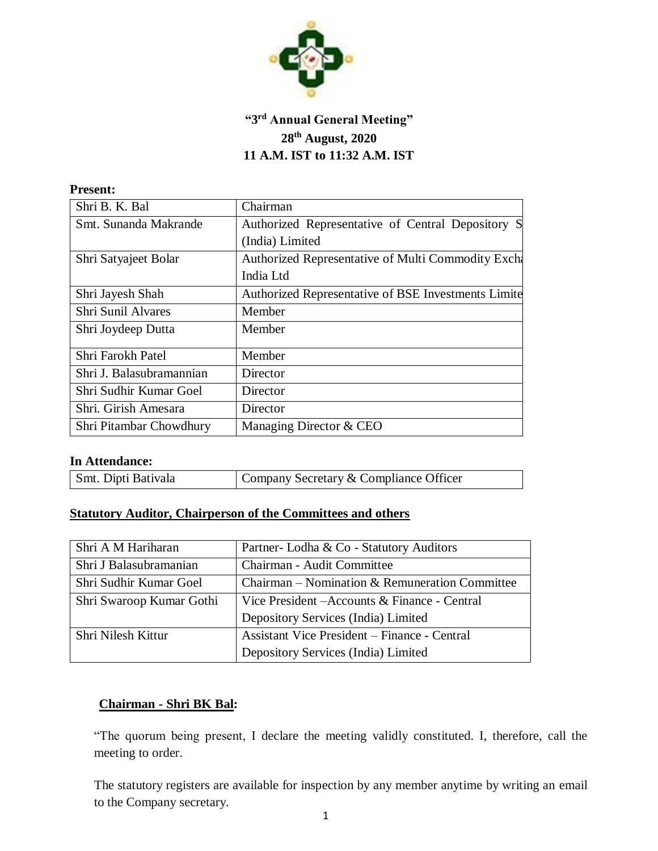

# **"3 rd Annual General Meeting" 28th August, 2020 11 A.M. IST to 11:32 A.M. IST**

#### **Present:**

| Shri B. K. Bal            | Chairman                                            |
|---------------------------|-----------------------------------------------------|
| Smt. Sunanda Makrande     | Authorized Representative of Central Depository S   |
|                           | (India) Limited                                     |
| Shri Satyajeet Bolar      | Authorized Representative of Multi Commodity Excha  |
|                           | India Ltd                                           |
| Shri Jayesh Shah          | Authorized Representative of BSE Investments Limite |
| <b>Shri Sunil Alvares</b> | Member                                              |
| Shri Joydeep Dutta        | Member                                              |
| Shri Farokh Patel         | Member                                              |
| Shri J. Balasubramannian  | Director                                            |
| Shri Sudhir Kumar Goel    | Director                                            |
| Shri. Girish Amesara      | Director                                            |
| Shri Pitambar Chowdhury   | Managing Director & CEO                             |

#### **In Attendance:**

| Smt. Dipti Bativala | Company Secretary & Compliance Officer |
|---------------------|----------------------------------------|
|                     |                                        |

## **Statutory Auditor, Chairperson of the Committees and others**

| Shri A M Hariharan       | Partner-Lodha & Co - Statutory Auditors             |
|--------------------------|-----------------------------------------------------|
| Shri J Balasubramanian   | Chairman - Audit Committee                          |
| Shri Sudhir Kumar Goel   | Chairman – Nomination & Remuneration Committee      |
| Shri Swaroop Kumar Gothi | Vice President – Accounts & Finance - Central       |
|                          | Depository Services (India) Limited                 |
| Shri Nilesh Kittur       | <b>Assistant Vice President – Finance - Central</b> |
|                          | Depository Services (India) Limited                 |

## **Chairman - Shri BK Bal:**

"The quorum being present, I declare the meeting validly constituted. I, therefore, call the meeting to order.

The statutory registers are available for inspection by any member anytime by writing an email to the Company secretary.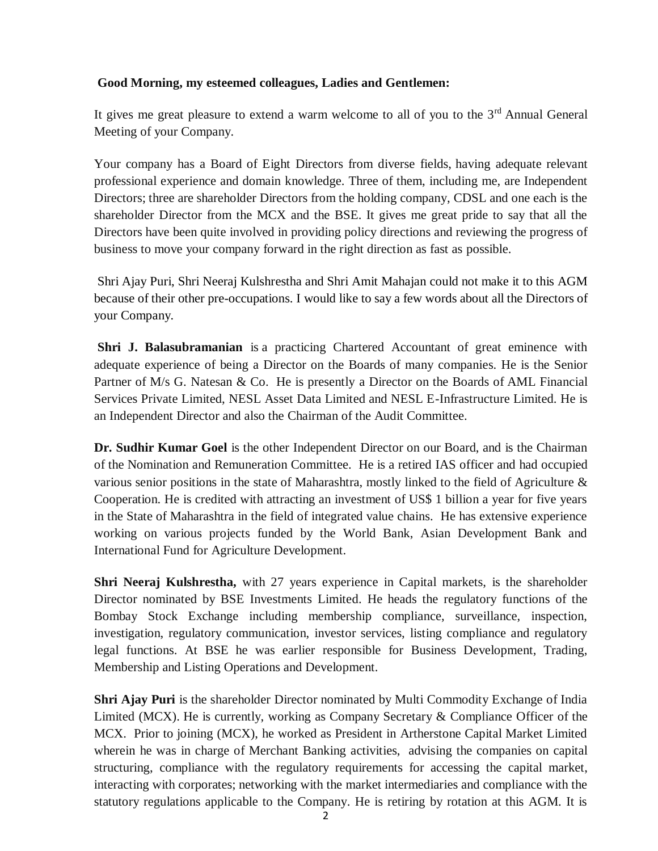#### **Good Morning, my esteemed colleagues, Ladies and Gentlemen:**

It gives me great pleasure to extend a warm welcome to all of you to the  $3<sup>rd</sup>$  Annual General Meeting of your Company.

Your company has a Board of Eight Directors from diverse fields, having adequate relevant professional experience and domain knowledge. Three of them, including me, are Independent Directors; three are shareholder Directors from the holding company, CDSL and one each is the shareholder Director from the MCX and the BSE. It gives me great pride to say that all the Directors have been quite involved in providing policy directions and reviewing the progress of business to move your company forward in the right direction as fast as possible.

Shri Ajay Puri, Shri Neeraj Kulshrestha and Shri Amit Mahajan could not make it to this AGM because of their other pre-occupations. I would like to say a few words about all the Directors of your Company*.*

**Shri J. Balasubramanian** is a practicing Chartered Accountant of great eminence with adequate experience of being a Director on the Boards of many companies. He is the Senior Partner of M/s G. Natesan & Co. He is presently a Director on the Boards of AML Financial Services Private Limited, NESL Asset Data Limited and NESL E-Infrastructure Limited. He is an Independent Director and also the Chairman of the Audit Committee.

**Dr. Sudhir Kumar Goel** is the other Independent Director on our Board, and is the Chairman of the Nomination and Remuneration Committee. He is a retired IAS officer and had occupied various senior positions in the state of Maharashtra, mostly linked to the field of Agriculture & Cooperation. He is credited with attracting an investment of US\$ 1 billion a year for five years in the State of Maharashtra in the field of integrated value chains. He has extensive experience working on various projects funded by the World Bank, Asian Development Bank and International Fund for Agriculture Development.

**Shri Neeraj Kulshrestha,** with 27 years experience in Capital markets, is the shareholder Director nominated by BSE Investments Limited. He heads the regulatory functions of the Bombay Stock Exchange including membership compliance, surveillance, inspection, investigation, regulatory communication, investor services, listing compliance and regulatory legal functions. At BSE he was earlier responsible for Business Development, Trading, Membership and Listing Operations and Development.

**Shri Ajay Puri** is the shareholder Director nominated by Multi Commodity Exchange of India Limited (MCX). He is currently, working as Company Secretary & Compliance Officer of the MCX. Prior to joining (MCX), he worked as President in Artherstone Capital Market Limited wherein he was in charge of Merchant Banking activities, advising the companies on capital structuring, compliance with the regulatory requirements for accessing the capital market, interacting with corporates; networking with the market intermediaries and compliance with the statutory regulations applicable to the Company. He is retiring by rotation at this AGM. It is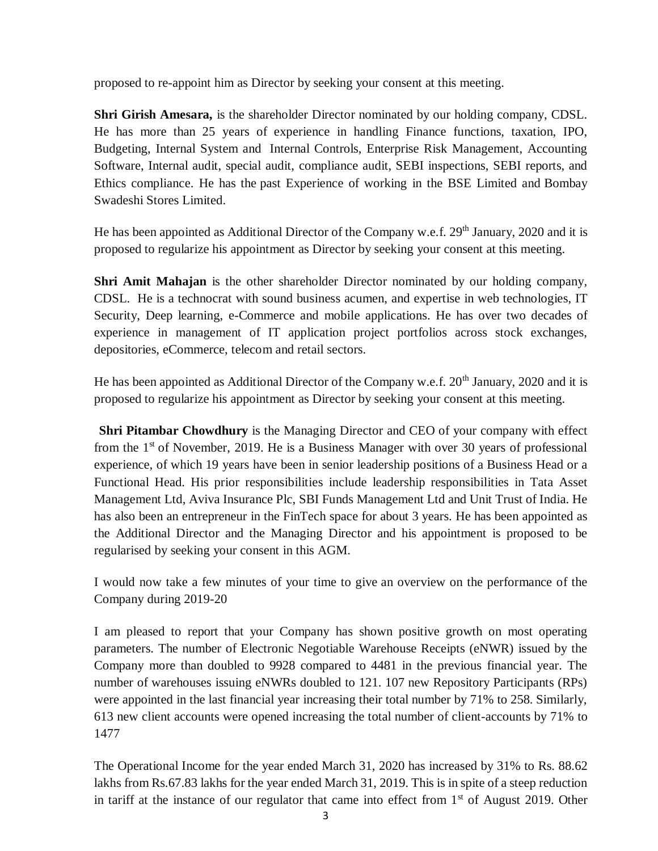proposed to re-appoint him as Director by seeking your consent at this meeting.

**Shri Girish Amesara,** is the shareholder Director nominated by our holding company, CDSL. He has more than 25 years of experience in handling Finance functions, taxation, IPO, Budgeting, Internal System and Internal Controls, Enterprise Risk Management, Accounting Software, Internal audit, special audit, compliance audit, SEBI inspections, SEBI reports, and Ethics compliance. He has the past Experience of working in the BSE Limited and Bombay Swadeshi Stores Limited.

He has been appointed as Additional Director of the Company w.e.f. 29<sup>th</sup> January, 2020 and it is proposed to regularize his appointment as Director by seeking your consent at this meeting.

**Shri Amit Mahajan** is the other shareholder Director nominated by our holding company, CDSL. He is a technocrat with sound business acumen, and expertise in web technologies, IT Security, Deep learning, e-Commerce and mobile applications. He has over two decades of experience in management of IT application project portfolios across stock exchanges, depositories, eCommerce, telecom and retail sectors.

He has been appointed as Additional Director of the Company w.e.f. 20<sup>th</sup> January, 2020 and it is proposed to regularize his appointment as Director by seeking your consent at this meeting.

**Shri Pitambar Chowdhury** is the Managing Director and CEO of your company with effect from the  $1<sup>st</sup>$  of November, 2019. He is a Business Manager with over 30 years of professional experience, of which 19 years have been in senior leadership positions of a Business Head or a Functional Head. His prior responsibilities include leadership responsibilities in Tata Asset Management Ltd, Aviva Insurance Plc, SBI Funds Management Ltd and Unit Trust of India. He has also been an entrepreneur in the FinTech space for about 3 years. He has been appointed as the Additional Director and the Managing Director and his appointment is proposed to be regularised by seeking your consent in this AGM.

I would now take a few minutes of your time to give an overview on the performance of the Company during 2019-20

I am pleased to report that your Company has shown positive growth on most operating parameters. The number of Electronic Negotiable Warehouse Receipts (eNWR) issued by the Company more than doubled to 9928 compared to 4481 in the previous financial year. The number of warehouses issuing eNWRs doubled to 121. 107 new Repository Participants (RPs) were appointed in the last financial year increasing their total number by 71% to 258. Similarly, 613 new client accounts were opened increasing the total number of client-accounts by 71% to 1477

The Operational Income for the year ended March 31, 2020 has increased by 31% to Rs. 88.62 lakhs from Rs.67.83 lakhs for the year ended March 31, 2019. This is in spite of a steep reduction in tariff at the instance of our regulator that came into effect from  $1<sup>st</sup>$  of August 2019. Other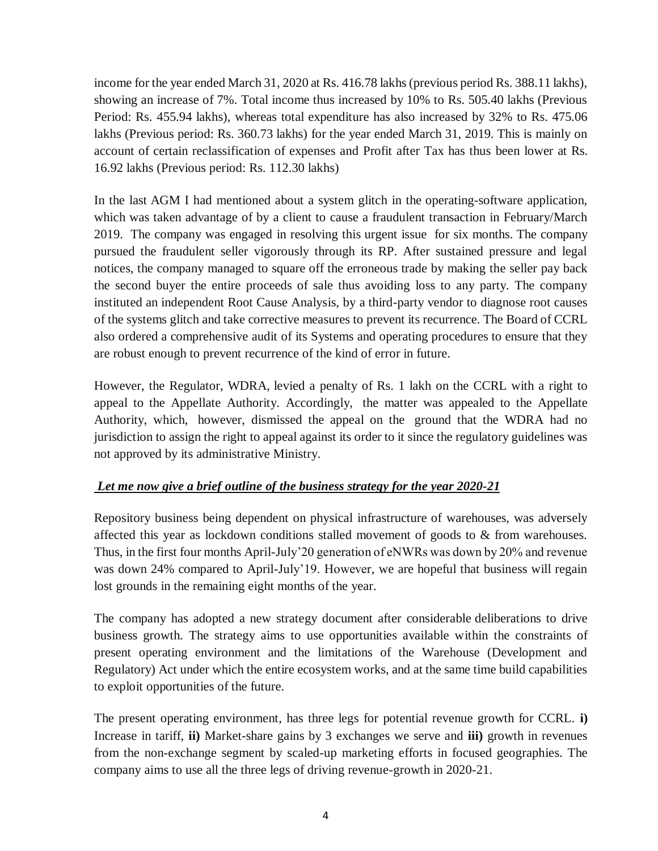income for the year ended March 31, 2020 at Rs. 416.78 lakhs (previous period Rs. 388.11 lakhs), showing an increase of 7%. Total income thus increased by 10% to Rs. 505.40 lakhs (Previous Period: Rs. 455.94 lakhs), whereas total expenditure has also increased by 32% to Rs. 475.06 lakhs (Previous period: Rs. 360.73 lakhs) for the year ended March 31, 2019. This is mainly on account of certain reclassification of expenses and Profit after Tax has thus been lower at Rs. 16.92 lakhs (Previous period: Rs. 112.30 lakhs)

In the last AGM I had mentioned about a system glitch in the operating-software application, which was taken advantage of by a client to cause a fraudulent transaction in February/March 2019. The company was engaged in resolving this urgent issue for six months. The company pursued the fraudulent seller vigorously through its RP. After sustained pressure and legal notices, the company managed to square off the erroneous trade by making the seller pay back the second buyer the entire proceeds of sale thus avoiding loss to any party. The company instituted an independent Root Cause Analysis, by a third-party vendor to diagnose root causes of the systems glitch and take corrective measures to prevent its recurrence. The Board of CCRL also ordered a comprehensive audit of its Systems and operating procedures to ensure that they are robust enough to prevent recurrence of the kind of error in future.

However, the Regulator, WDRA, levied a penalty of Rs. 1 lakh on the CCRL with a right to appeal to the Appellate Authority. Accordingly, the matter was appealed to the Appellate Authority, which, however, dismissed the appeal on the ground that the WDRA had no jurisdiction to assign the right to appeal against its order to it since the regulatory guidelines was not approved by its administrative Ministry.

## *Let me now give a brief outline of the business strategy for the year 2020-21*

Repository business being dependent on physical infrastructure of warehouses, was adversely affected this year as lockdown conditions stalled movement of goods to & from warehouses. Thus, in the first four months April-July'20 generation of eNWRs was down by 20% and revenue was down 24% compared to April-July'19. However, we are hopeful that business will regain lost grounds in the remaining eight months of the year.

The company has adopted a new strategy document after considerable deliberations to drive business growth. The strategy aims to use opportunities available within the constraints of present operating environment and the limitations of the Warehouse (Development and Regulatory) Act under which the entire ecosystem works, and at the same time build capabilities to exploit opportunities of the future.

The present operating environment, has three legs for potential revenue growth for CCRL. **i)** Increase in tariff, **ii)** Market-share gains by 3 exchanges we serve and **iii)** growth in revenues from the non-exchange segment by scaled-up marketing efforts in focused geographies. The company aims to use all the three legs of driving revenue-growth in 2020-21.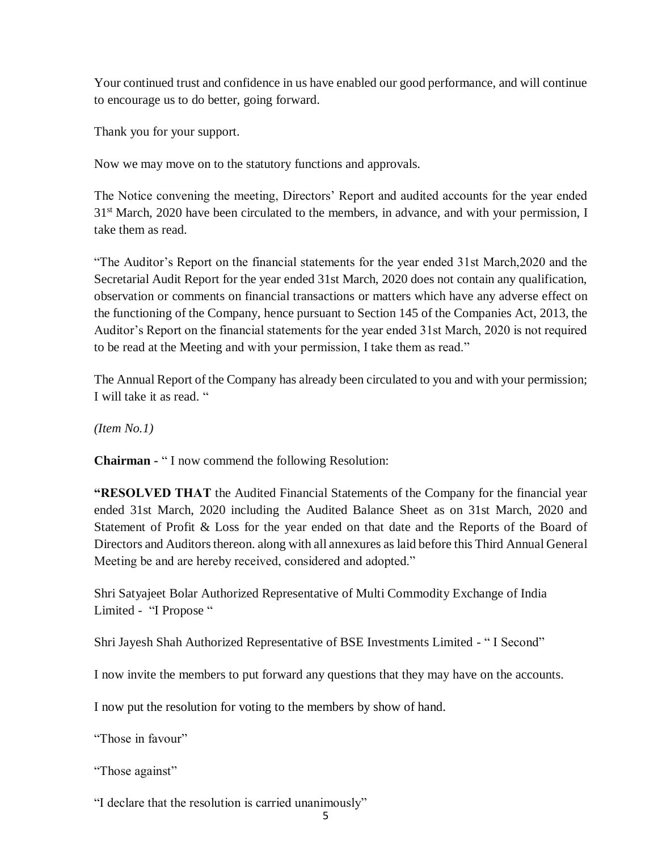Your continued trust and confidence in us have enabled our good performance, and will continue to encourage us to do better, going forward.

Thank you for your support.

Now we may move on to the statutory functions and approvals.

The Notice convening the meeting, Directors' Report and audited accounts for the year ended 31<sup>st</sup> March, 2020 have been circulated to the members, in advance, and with your permission, I take them as read.

"The Auditor's Report on the financial statements for the year ended 31st March,2020 and the Secretarial Audit Report for the year ended 31st March, 2020 does not contain any qualification, observation or comments on financial transactions or matters which have any adverse effect on the functioning of the Company, hence pursuant to Section 145 of the Companies Act, 2013, the Auditor's Report on the financial statements for the year ended 31st March, 2020 is not required to be read at the Meeting and with your permission, I take them as read."

The Annual Report of the Company has already been circulated to you and with your permission; I will take it as read. "

*(Item No.1)*

**Chairman -** " I now commend the following Resolution:

**"RESOLVED THAT** the Audited Financial Statements of the Company for the financial year ended 31st March, 2020 including the Audited Balance Sheet as on 31st March, 2020 and Statement of Profit & Loss for the year ended on that date and the Reports of the Board of Directors and Auditors thereon. along with all annexures as laid before this Third Annual General Meeting be and are hereby received, considered and adopted."

Shri Satyajeet Bolar Authorized Representative of Multi Commodity Exchange of India Limited - "I Propose "

Shri Jayesh Shah Authorized Representative of BSE Investments Limited - " I Second"

I now invite the members to put forward any questions that they may have on the accounts.

I now put the resolution for voting to the members by show of hand.

"Those in favour"

"Those against"

"I declare that the resolution is carried unanimously"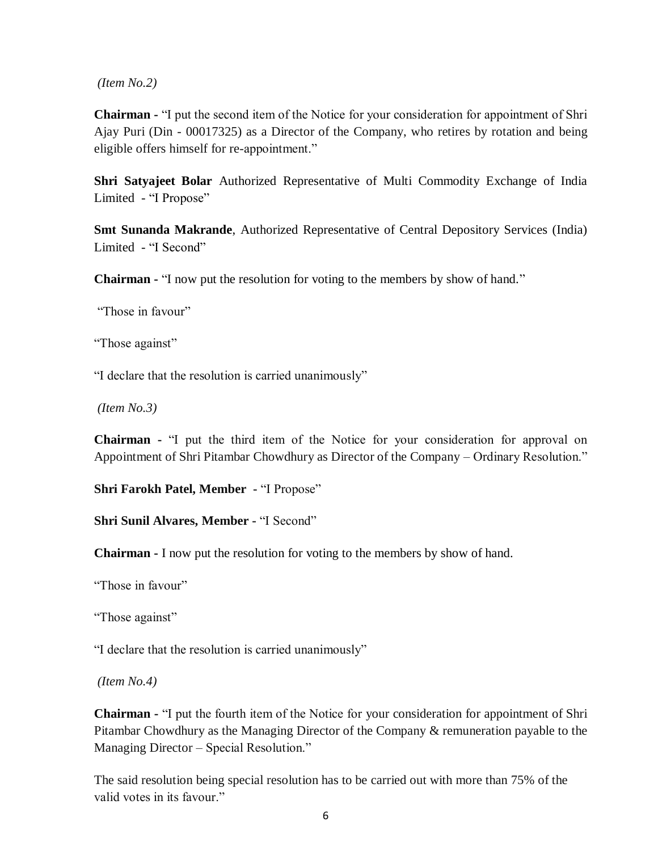*(Item No.2)*

**Chairman -** "I put the second item of the Notice for your consideration for appointment of Shri Ajay Puri (Din - 00017325) as a Director of the Company, who retires by rotation and being eligible offers himself for re-appointment."

**Shri Satyajeet Bolar** Authorized Representative of Multi Commodity Exchange of India Limited - "I Propose"

**Smt Sunanda Makrande**, Authorized Representative of Central Depository Services (India) Limited - "I Second"

**Chairman -** "I now put the resolution for voting to the members by show of hand."

"Those in favour"

"Those against"

"I declare that the resolution is carried unanimously"

*(Item No.3)*

**Chairman -** "I put the third item of the Notice for your consideration for approval on Appointment of Shri Pitambar Chowdhury as Director of the Company – Ordinary Resolution."

**Shri Farokh Patel, Member -** "I Propose"

**Shri Sunil Alvares, Member -** "I Second"

**Chairman -** I now put the resolution for voting to the members by show of hand.

"Those in favour"

"Those against"

"I declare that the resolution is carried unanimously"

*(Item No.4)*

**Chairman -** "I put the fourth item of the Notice for your consideration for appointment of Shri Pitambar Chowdhury as the Managing Director of the Company & remuneration payable to the Managing Director – Special Resolution."

The said resolution being special resolution has to be carried out with more than 75% of the valid votes in its favour."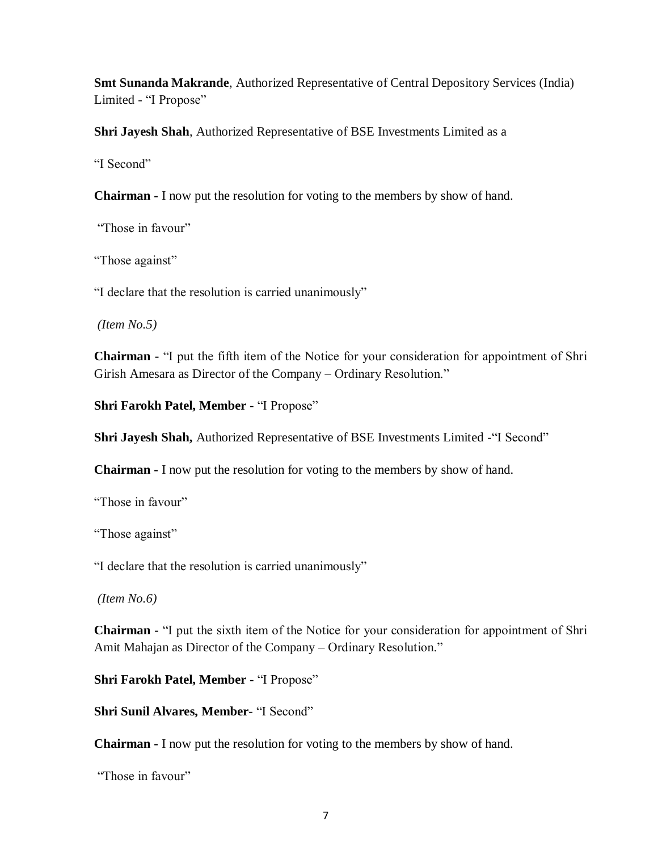**Smt Sunanda Makrande**, Authorized Representative of Central Depository Services (India) Limited - "I Propose"

**Shri Jayesh Shah**, Authorized Representative of BSE Investments Limited as a

"I Second"

**Chairman -** I now put the resolution for voting to the members by show of hand.

"Those in favour"

"Those against"

"I declare that the resolution is carried unanimously"

*(Item No.5)*

**Chairman -** "I put the fifth item of the Notice for your consideration for appointment of Shri Girish Amesara as Director of the Company – Ordinary Resolution."

**Shri Farokh Patel, Member** - "I Propose"

**Shri Jayesh Shah,** Authorized Representative of BSE Investments Limited -"I Second"

**Chairman -** I now put the resolution for voting to the members by show of hand.

"Those in favour"

"Those against"

"I declare that the resolution is carried unanimously"

*(Item No.6)*

**Chairman -** "I put the sixth item of the Notice for your consideration for appointment of Shri Amit Mahajan as Director of the Company – Ordinary Resolution."

**Shri Farokh Patel, Member** - "I Propose"

**Shri Sunil Alvares, Member**- "I Second"

**Chairman -** I now put the resolution for voting to the members by show of hand.

"Those in favour"